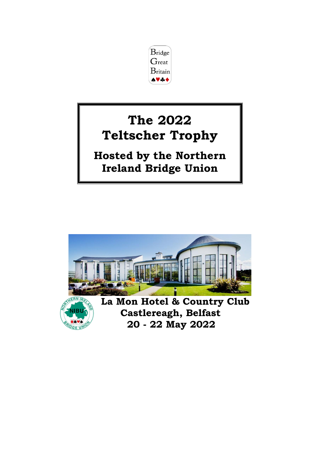

# **The 2022 Teltscher Trophy**

**Hosted by the Northern Ireland Bridge Union**

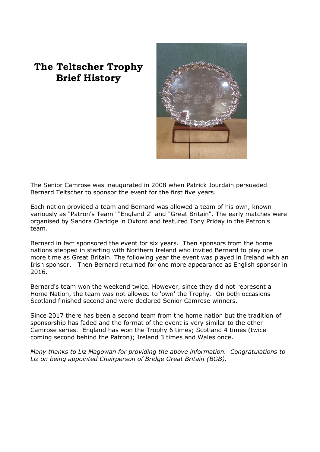# **The Teltscher Trophy Brief History**



The Senior Camrose was inaugurated in 2008 when Patrick Jourdain persuaded Bernard Teltscher to sponsor the event for the first five years.

Each nation provided a team and Bernard was allowed a team of his own, known variously as "Patron's Team" "England 2" and "Great Britain". The early matches were organised by Sandra Claridge in Oxford and featured Tony Priday in the Patron's team.

Bernard in fact sponsored the event for six years. Then sponsors from the home nations stepped in starting with Northern Ireland who invited Bernard to play one more time as Great Britain. The following year the event was played in Ireland with an Irish sponsor. Then Bernard returned for one more appearance as English sponsor in 2016.

Bernard's team won the weekend twice. However, since they did not represent a Home Nation, the team was not allowed to 'own' the Trophy. On both occasions Scotland finished second and were declared Senior Camrose winners.

Since 2017 there has been a second team from the home nation but the tradition of sponsorship has faded and the format of the event is very similar to the other Camrose series. England has won the Trophy 6 times; Scotland 4 times (twice coming second behind the Patron); Ireland 3 times and Wales once.

*Many thanks to Liz Magowan for providing the above information. Congratulations to Liz on being appointed Chairperson of Bridge Great Britain (BGB).*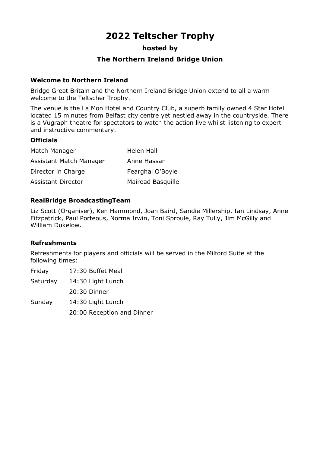# **2022 Teltscher Trophy**

#### **hosted by**

# **The Northern Ireland Bridge Union**

#### **Welcome to Northern Ireland**

Bridge Great Britain and the Northern Ireland Bridge Union extend to all a warm welcome to the Teltscher Trophy.

The venue is the La Mon Hotel and Country Club, a superb family owned 4 Star Hotel located 15 minutes from Belfast city centre yet nestled away in the countryside. There is a Vugraph theatre for spectators to watch the action live whilst listening to expert and instructive commentary.

#### **Officials**

| Match Manager           | Helen Hall               |
|-------------------------|--------------------------|
| Assistant Match Manager | Anne Hassan              |
| Director in Charge      | Fearghal O'Boyle         |
| Assistant Director      | <b>Mairead Basquille</b> |

#### **RealBridge BroadcastingTeam**

Liz Scott (Organiser), Ken Hammond, Joan Baird, Sandie Millership, Ian Lindsay, Anne Fitzpatrick, Paul Porteous, Norma Irwin, Toni Sproule, Ray Tully, Jim McGilly and William Dukelow.

#### **Refreshments**

Refreshments for players and officials will be served in the Milford Suite at the following times:

Friday 17:30 Buffet Meal

Saturday 14:30 Light Lunch

20:30 Dinner

Sunday 14:30 Light Lunch 20:00 Reception and Dinner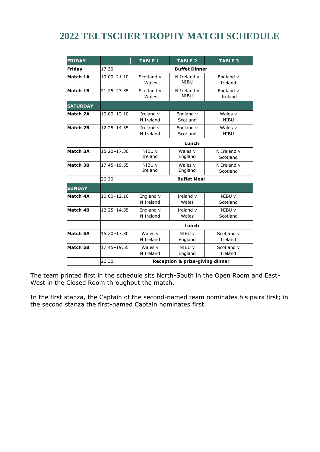# **2022 TELTSCHER TROPHY MATCH SCHEDULE**

| <b>FRIDAY</b>   |                 | <b>TABLE 1</b>                                                     | <b>TABLE 2</b>                                  | <b>TABLE 3</b>          |  |  |  |
|-----------------|-----------------|--------------------------------------------------------------------|-------------------------------------------------|-------------------------|--|--|--|
| Friday          | 17.30           | <b>Buffet Dinner</b>                                               |                                                 |                         |  |  |  |
| Match 1A        | 19.00-21.10     | Scotland v<br>Wales                                                | N Ireland v<br><b>NIBU</b>                      | England v<br>Ireland    |  |  |  |
| Match 1B        | 21.25-23.35     | Scotland v<br>Wales                                                | England v<br>Ireland                            |                         |  |  |  |
| <b>SATURDAY</b> |                 |                                                                    |                                                 |                         |  |  |  |
| Match 2A        | $10.00 - 12.10$ | Ireland v<br>N Ireland                                             | England v<br>Wales v<br>Scotland<br><b>NIBU</b> |                         |  |  |  |
| Match 2B        | 12.25-14.35     | Ireland v<br>N Ireland                                             | England v<br>Scotland                           | Wales v<br><b>NIBU</b>  |  |  |  |
|                 |                 |                                                                    | Lunch                                           |                         |  |  |  |
| Match 3A        | 15.20-17.30     | NIBU v<br>Ireland                                                  | Wales v<br>England                              | N Ireland v<br>Scotland |  |  |  |
| <b>Match 3B</b> | 17.45-19.55     | Wales v<br>NIBU v<br>Ireland<br>England                            |                                                 | N Ireland v<br>Scotland |  |  |  |
|                 | 20.30           | <b>Buffet Meal</b>                                                 |                                                 |                         |  |  |  |
| <b>SUNDAY</b>   |                 |                                                                    |                                                 |                         |  |  |  |
| Match 4A        | $10.00 - 12.10$ | England v<br>N Ireland                                             | Ireland v<br>Wales                              | NIBU v<br>Scotland      |  |  |  |
| Match 4B        | 12.25-14.35     | Ireland v<br>England v<br>N Ireland<br>Wales                       |                                                 | NIBU v<br>Scotland      |  |  |  |
|                 |                 | Lunch                                                              |                                                 |                         |  |  |  |
| Match 5A        | 15.20-17.30     | Wales v<br>N Ireland                                               | Scotland v<br>NIBU v<br>Ireland<br>England      |                         |  |  |  |
| <b>Match 5B</b> | 17.45-19.55     | Scotland v<br>Wales v<br>NIBU v<br>N Ireland<br>England<br>Ireland |                                                 |                         |  |  |  |
|                 | 20.30           | <b>Reception &amp; prize-giving dinner</b>                         |                                                 |                         |  |  |  |

The team printed first in the schedule sits North-South in the Open Room and East-West in the Closed Room throughout the match.

In the first stanza, the Captain of the second-named team nominates his pairs first; in the second stanza the first-named Captain nominates first.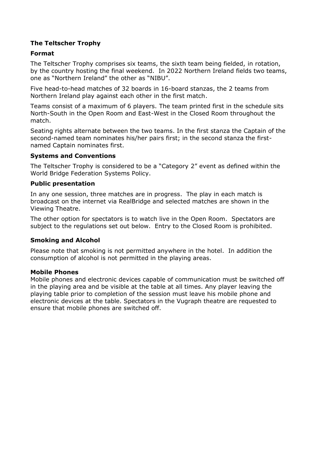# **The Teltscher Trophy**

#### **Format**

The Teltscher Trophy comprises six teams, the sixth team being fielded, in rotation, by the country hosting the final weekend. In 2022 Northern Ireland fields two teams, one as "Northern Ireland" the other as "NIBU".

Five head-to-head matches of 32 boards in 16-board stanzas, the 2 teams from Northern Ireland play against each other in the first match.

Teams consist of a maximum of 6 players. The team printed first in the schedule sits North-South in the Open Room and East-West in the Closed Room throughout the match.

Seating rights alternate between the two teams. In the first stanza the Captain of the second-named team nominates his/her pairs first; in the second stanza the firstnamed Captain nominates first.

#### **Systems and Conventions**

The Teltscher Trophy is considered to be a "Category 2" event as defined within the World Bridge Federation Systems Policy.

#### **Public presentation**

In any one session, three matches are in progress. The play in each match is broadcast on the internet via RealBridge and selected matches are shown in the Viewing Theatre.

The other option for spectators is to watch live in the Open Room. Spectators are subject to the regulations set out below. Entry to the Closed Room is prohibited.

#### **Smoking and Alcohol**

Please note that smoking is not permitted anywhere in the hotel. In addition the consumption of alcohol is not permitted in the playing areas.

#### **Mobile Phones**

Mobile phones and electronic devices capable of communication must be switched off in the playing area and be visible at the table at all times. Any player leaving the playing table prior to completion of the session must leave his mobile phone and electronic devices at the table. Spectators in the Vugraph theatre are requested to ensure that mobile phones are switched off.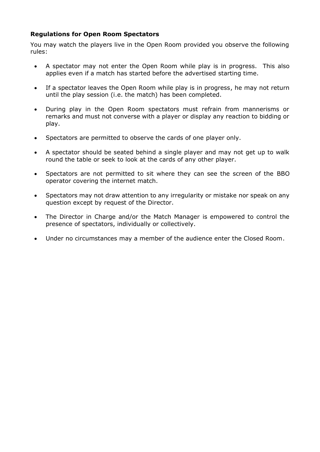### **Regulations for Open Room Spectators**

You may watch the players live in the Open Room provided you observe the following rules:

- A spectator may not enter the Open Room while play is in progress. This also applies even if a match has started before the advertised starting time.
- If a spectator leaves the Open Room while play is in progress, he may not return until the play session (i.e. the match) has been completed.
- During play in the Open Room spectators must refrain from mannerisms or remarks and must not converse with a player or display any reaction to bidding or play.
- Spectators are permitted to observe the cards of one player only.
- A spectator should be seated behind a single player and may not get up to walk round the table or seek to look at the cards of any other player.
- Spectators are not permitted to sit where they can see the screen of the BBO operator covering the internet match.
- Spectators may not draw attention to any irregularity or mistake nor speak on any question except by request of the Director.
- The Director in Charge and/or the Match Manager is empowered to control the presence of spectators, individually or collectively.
- Under no circumstances may a member of the audience enter the Closed Room.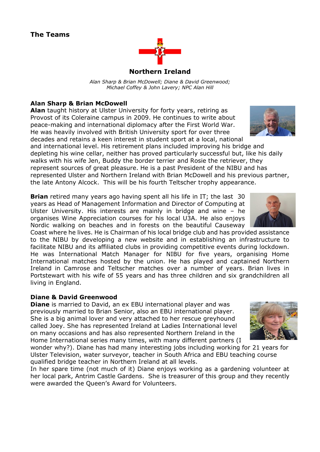

# **Northern Ireland**

*Alan Sharp & Brian McDowell; Diane & David Greenwood; Michael Coffey & John Lavery; NPC Alan Hill*

# **Alan Sharp & Brian McDowell**

**Alan** taught history at Ulster University for forty years, retiring as Provost of its Coleraine campus in 2009. He continues to write about peace-making and international diplomacy after the First World War. He was heavily involved with British University sport for over three decades and retains a keen interest in student sport at a local, national

and international level. His retirement plans included improving his bridge and depleting his wine cellar, neither has proved particularly successful but, like his daily walks with his wife Jen, Buddy the border terrier and Rosie the retriever, they represent sources of great pleasure. He is a past President of the NIBU and has represented Ulster and Northern Ireland with Brian McDowell and his previous partner, the late Antony Alcock. This will be his fourth Teltscher trophy appearance.

**Brian** retired many years ago having spent all his life in IT; the last 30 years as Head of Management Information and Director of Computing at Ulster University. His interests are mainly in bridge and wine – he organises Wine Appreciation courses for his local U3A. He also enjoys Nordic walking on beaches and in forests on the beautiful Causeway

Coast where he lives. He is Chairman of his local bridge club and has provided assistance to the NIBU by developing a new website and in establishing an infrastructure to facilitate NIBU and its affiliated clubs in providing competitive events during lockdown. He was International Match Manager for NIBU for five years, organising Home International matches hosted by the union. He has played and captained Northern Ireland in Camrose and Teltscher matches over a number of years. Brian lives in Portstewart with his wife of 55 years and has three children and six grandchildren all living in England.

### **Diane & David Greenwood**

**Diane** is married to David, an ex EBU international player and was previously married to Brian Senior, also an EBU international player. She is a big animal lover and very attached to her rescue greyhound called Joey. She has represented Ireland at Ladies International level on many occasions and has also represented Northern Ireland in the Home International series many times, with many different partners (I



wonder why?). Diane has had many interesting jobs including working for 21 years for Ulster Television, water surveyor, teacher in South Africa and EBU teaching course qualified bridge teacher in Northern Ireland at all levels.

In her spare time (not much of it) Diane enjoys working as a gardening volunteer at her local park, Antrim Castle Gardens. She is treasurer of this group and they recently were awarded the Queen's Award for Volunteers.



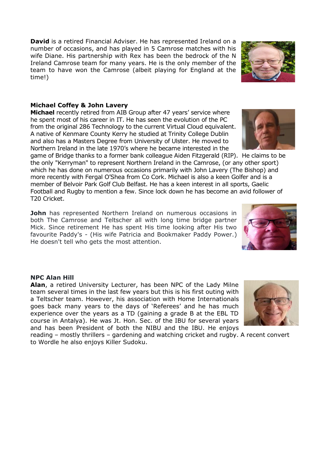**David** is a retired Financial Adviser. He has represented Ireland on a number of occasions, and has played in 5 Camrose matches with his wife Diane. His partnership with Rex has been the bedrock of the N Ireland Camrose team for many years. He is the only member of the team to have won the Camrose (albeit playing for England at the time!)

#### **Michael Coffey & John Lavery**

**Michael** recently retired from AIB Group after 47 years' service where he spent most of his career in IT. He has seen the evolution of the PC from the original 286 Technology to the current Virtual Cloud equivalent. A native of Kenmare County Kerry he studied at Trinity College Dublin and also has a Masters Degree from University of Ulster. He moved to Northern Ireland in the late 1970's where he became interested in the

game of Bridge thanks to a former bank colleague Aiden Fitzgerald (RIP). He claims to be the only "Kerryman" to represent Northern Ireland in the Camrose, (or any other sport) which he has done on numerous occasions primarily with John Lavery (The Bishop) and more recently with Fergal O'Shea from Co Cork. Michael is also a keen Golfer and is a member of Belvoir Park Golf Club Belfast. He has a keen interest in all sports, Gaelic Football and Rugby to mention a few. Since lock down he has become an avid follower of T20 Cricket.

**John** has represented Northern Ireland on numerous occasions in both The Camrose and Teltscher all with long time bridge partner Mick. Since retirement He has spent His time looking after His two favourite Paddy's - (His wife Patricia and Bookmaker Paddy Power.) He doesn't tell who gets the most attention.

#### **NPC Alan Hill**

**Alan**, a retired University Lecturer, has been NPC of the Lady Milne team several times in the last few years but this is his first outing with a Teltscher team. However, his association with Home Internationals goes back many years to the days of 'Referees' and he has much experience over the years as a TD (gaining a grade B at the EBL TD course in Antalya). He was Jt. Hon. Sec. of the IBU for several years and has been President of both the NIBU and the IBU. He enjoys

reading – mostly thrillers – gardening and watching cricket and rugby. A recent convert to Wordle he also enjoys Killer Sudoku.







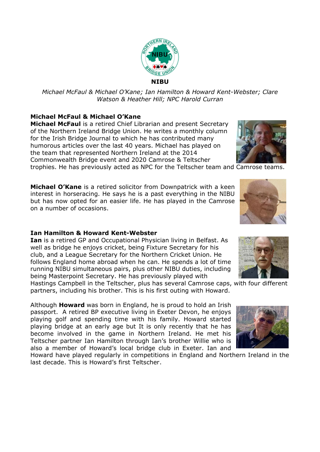

#### **Michael McFaul & Michael O'Kane**

**Michael McFaul** is a retired Chief Librarian and present Secretary of the Northern Ireland Bridge Union. He writes a monthly column for the Irish Bridge Journal to which he has contributed many humorous articles over the last 40 years. Michael has played on the team that represented Northern Ireland at the 2014 Commonwealth Bridge event and 2020 Camrose & Teltscher trophies. He has previously acted as NPC for the Teltscher team and Camrose teams.

**Michael O'Kane** is a retired solicitor from Downpatrick with a keen interest in horseracing. He says he is a past everything in the NIBU but has now opted for an easier life. He has played in the Camrose on a number of occasions.

#### **Ian Hamilton & Howard Kent-Webster**

**Ian** is a retired GP and Occupational Physician living in Belfast. As well as bridge he enjoys cricket, being Fixture Secretary for his club, and a League Secretary for the Northern Cricket Union. He follows England home abroad when he can. He spends a lot of time running NIBU simultaneous pairs, plus other NIBU duties, including being Masterpoint Secretary. He has previously played with

Hastings Campbell in the Teltscher, plus has several Camrose caps, with four different partners, including his brother. This is his first outing with Howard.

Although **Howard** was born in England, he is proud to hold an Irish passport. A retired BP executive living in Exeter Devon, he enjoys playing golf and spending time with his family. Howard started playing bridge at an early age but It is only recently that he has become involved in the game in Northern Ireland. He met his Teltscher partner Ian Hamilton through Ian's brother Willie who is also a member of Howard's local bridge club in Exeter. Ian and

Howard have played regularly in competitions in England and Northern Ireland in the last decade. This is Howard's first Teltscher.







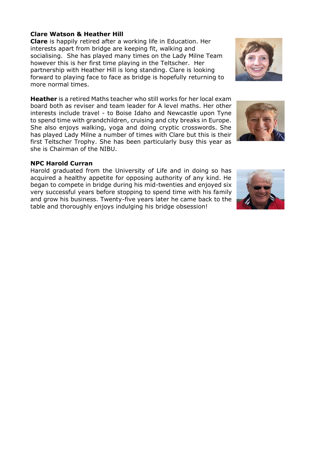#### **Clare Watson & Heather Hill**

**Clare** is happily retired after a working life in Education. Her interests apart from bridge are keeping fit, walking and socialising. She has played many times on the Lady Milne Team however this is her first time playing in the Teltscher. Her partnership with Heather Hill is long standing. Clare is looking forward to playing face to face as bridge is hopefully returning to more normal times.

**Heather** is a retired Maths teacher who still works for her local exam board both as reviser and team leader for A level maths. Her other interests include travel - to Boise Idaho and Newcastle upon Tyne to spend time with grandchildren, cruising and city breaks in Europe. She also enjoys walking, yoga and doing cryptic crosswords. She has played Lady Milne a number of times with Clare but this is their first Teltscher Trophy. She has been particularly busy this year as she is Chairman of the NIBU.

#### **NPC Harold Curran**

Harold graduated from the University of Life and in doing so has acquired a healthy appetite for opposing authority of any kind. He began to compete in bridge during his mid-twenties and enjoyed six very successful years before stopping to spend time with his family and grow his business. Twenty-five years later he came back to the table and thoroughly enjoys indulging his bridge obsession!





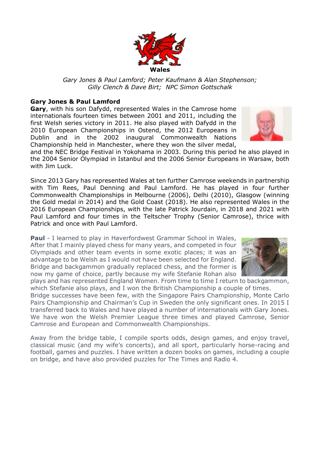

#### **Gary Jones & Paul Lamford**

**Gary**, with his son Dafydd, represented Wales in the Camrose home internationals fourteen times between 2001 and 2011, including the first Welsh series victory in 2011. He also played with Dafydd in the 2010 European Championships in Ostend, the 2012 Europeans in Dublin and in the 2002 inaugural Commonwealth Nations Championship held in Manchester, where they won the silver medal,

and the NEC Bridge Festival in Yokohama in 2003. During this period he also played in the 2004 Senior Olympiad in Istanbul and the 2006 Senior Europeans in Warsaw, both with Jim Luck.

Since 2013 Gary has represented Wales at ten further Camrose weekends in partnership with Tim Rees, Paul Denning and Paul Lamford. He has played in four further Commonwealth Championships in Melbourne (2006), Delhi (2010), Glasgow (winning the Gold medal in 2014) and the Gold Coast (2018). He also represented Wales in the 2016 European Championships, with the late Patrick Jourdain, in 2018 and 2021 with Paul Lamford and four times in the Teltscher Trophy (Senior Camrose), thrice with Patrick and once with Paul Lamford.

**Paul** - I learned to play in Haverfordwest Grammar School in Wales, After that I mainly played chess for many years, and competed in four Olympiads and other team events in some exotic places; it was an advantage to be Welsh as I would not have been selected for England. Bridge and backgammon gradually replaced chess, and the former is now my game of choice, partly because my wife Stefanie Rohan also

plays and has represented England Women. From time to time I return to backgammon, which Stefanie also plays, and I won the British Championship a couple of times. Bridge successes have been few, with the Singapore Pairs Championship, Monte Carlo

Pairs Championship and Chairman's Cup in Sweden the only significant ones. In 2015 I transferred back to Wales and have played a number of internationals with Gary Jones. We have won the Welsh Premier League three times and played Camrose, Senior Camrose and European and Commonwealth Championships.

Away from the bridge table, I compile sports odds, design games, and enjoy travel, classical music (and my wife's concerts), and all sport, particularly horse-racing and football, games and puzzles. I have written a dozen books on games, including a couple on bridge, and have also provided puzzles for The Times and Radio 4.





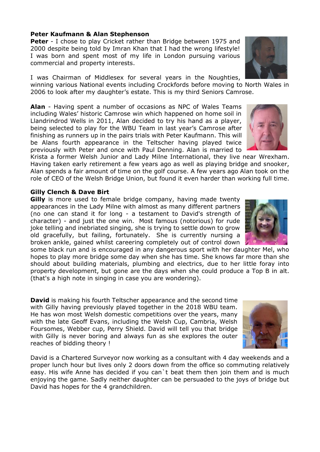#### **Peter Kaufmann & Alan Stephenson**

**Peter** - I chose to play Cricket rather than Bridge between 1975 and 2000 despite being told by Imran Khan that I had the wrong lifestyle! I was born and spent most of my life in London pursuing various commercial and property interests.

I was Chairman of Middlesex for several years in the Noughties,

winning various National events including Crockfords before moving to North Wales in 2006 to look after my daughter's estate. This is my third Seniors Camrose.

**Alan** - Having spent a number of occasions as NPC of Wales Teams including Wales' historic Camrose win which happened on home soil in Llandrindrod Wells in 2011, Alan decided to try his hand as a player, being selected to play for the WBU Team in last year's Camrose after finishing as runners up in the pairs trials with Peter Kaufmann. This will be Alans fourth appearance in the Teltscher having played twice previously with Peter and once with Paul Denning. Alan is married to

Krista a former Welsh Junior and Lady Milne International, they live near Wrexham. Having taken early retirement a few years ago as well as playing bridge and snooker, Alan spends a fair amount of time on the golf course. A few years ago Alan took on the role of CEO of the Welsh Bridge Union, but found it even harder than working full time.

#### **Gilly Clench & Dave Birt**

**Gilly** is more used to female bridge company, having made twenty appearances in the Lady Milne with almost as many different partners (no one can stand it for long - a testament to David's strength of character) - and just the one win. Most famous (notorious) for rude joke telling and inebriated singing, she is trying to settle down to grow old gracefully, but failing, fortunately. She is currently nursing a broken ankle, gained whilst careering completely out of control down

some black run and is encouraged in any dangerous sport with her daughter Mel, who hopes to play more bridge some day when she has time. She knows far more than she should about building materials, plumbing and electrics, due to her little foray into property development, but gone are the days when she could produce a Top B in alt. (that's a high note in singing in case you are wondering).

**David** is making his fourth Teltscher appearance and the second time with Gilly having previously played together in the 2018 WBU team. He has won most Welsh domestic competitions over the years, many with the late Geoff Evans, including the Welsh Cup, Cambria, Welsh Foursomes, Webber cup, Perry Shield. David will tell you that bridge with Gilly is never boring and always fun as she explores the outer reaches of bidding theory !

David is a Chartered Surveyor now working as a consultant with 4 day weekends and a proper lunch hour but lives only 2 doors down from the office so commuting relatively easy. His wife Anne has decided if you can`t beat them then join them and is much enjoying the game. Sadly neither daughter can be persuaded to the joys of bridge but David has hopes for the 4 grandchildren.





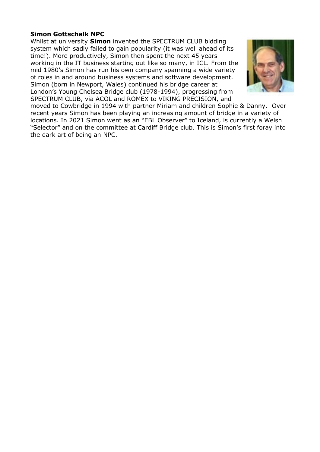#### **Simon Gottschalk NPC**

Whilst at university **Simon** invented the SPECTRUM CLUB bidding system which sadly failed to gain popularity (it was well ahead of its time!). More productively, Simon then spent the next 45 years working in the IT business starting out like so many, in ICL. From the mid 1980's Simon has run his own company spanning a wide variety of roles in and around business systems and software development. Simon (born in Newport, Wales) continued his bridge career at London's Young Chelsea Bridge club (1978-1994), progressing from SPECTRUM CLUB, via ACOL and ROMEX to VIKING PRECISION, and



moved to Cowbridge in 1994 with partner Miriam and children Sophie & Danny. Over recent years Simon has been playing an increasing amount of bridge in a variety of locations. In 2021 Simon went as an "EBL Observer" to Iceland, is currently a Welsh "Selector" and on the committee at Cardiff Bridge club. This is Simon's first foray into the dark art of being an NPC.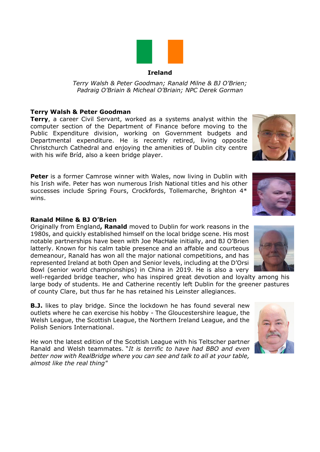

#### **Ireland**

*Terry Walsh & Peter Goodman; Ranald Milne & BJ O'Brien; Padraig O'Briain & Micheal O'Briain; NPC Derek Gorman*

#### **Terry Walsh & Peter Goodman**

**Terry**, a career Civil Servant, worked as a systems analyst within the computer section of the Department of Finance before moving to the Public Expenditure division, working on Government budgets and Departmental expenditure. He is recently retired, living opposite Christchurch Cathedral and enjoying the amenities of Dublin city centre with his wife Bríd, also a keen bridge player.

**Peter** is a former Camrose winner with Wales, now living in Dublin with his Irish wife. Peter has won numerous Irish National titles and his other successes include Spring Fours, Crockfords, Tollemarche, Brighton 4\* wins.

#### **Ranald Milne & BJ O'Brien**

Originally from England**, Ranald** moved to Dublin for work reasons in the 1980s, and quickly established himself on the local bridge scene. His most notable partnerships have been with Joe MacHale initially, and BJ O'Brien latterly. Known for his calm table presence and an affable and courteous demeanour, Ranald has won all the major national competitions, and has represented Ireland at both Open and Senior levels, including at the D'Orsi Bowl (senior world championships) in China in 2019. He is also a very

well-regarded bridge teacher, who has inspired great devotion and loyalty among his large body of students. He and Catherine recently left Dublin for the greener pastures of county Clare, but thus far he has retained his Leinster allegiances.

**B.J.** likes to play bridge. Since the lockdown he has found several new outlets where he can exercise his hobby - The Gloucestershire league, the Welsh League, the Scottish League, the Northern Ireland League, and the Polish Seniors International.

He won the latest edition of the Scottish League with his Teltscher partner Ranald and Welsh teammates. "*It is terrific to have had BBO and even better now with RealBridge where you can see and talk to all at your table, almost like the real thing"*





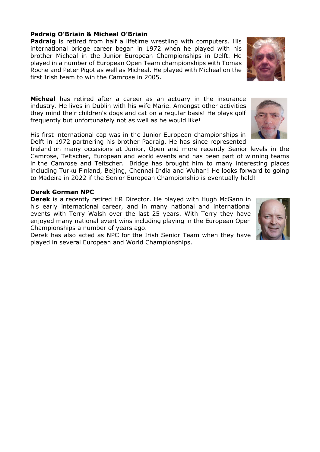#### **Padraig O'Briain & Micheal O'Briain**

**Padraig** is retired from half a lifetime wrestling with computers. His international bridge career began in 1972 when he played with his brother Micheal in the Junior European Championships in Delft. He played in a number of European Open Team championships with Tomas Roche and Peter Pigot as well as Micheal. He played with Micheal on the first Irish team to win the Camrose in 2005.

**Micheal** has retired after a career as an actuary in the insurance industry. He lives in Dublin with his wife Marie. Amongst other activities they mind their children's dogs and cat on a regular basis! He plays golf frequently but unfortunately not as well as he would like!

His first international cap was in the Junior European championships in Delft in 1972 partnering his brother Padraig. He has since represented

Ireland on many occasions at Junior, Open and more recently Senior levels in the Camrose, Teltscher, European and world events and has been part of winning teams in the Camrose and Teltscher. Bridge has brought him to many interesting places including Turku Finland, Beijing, Chennai India and Wuhan! He looks forward to going to Madeira in 2022 if the Senior European Championship is eventually held!

#### **Derek Gorman NPC**

**Derek** is a recently retired HR Director. He played with Hugh McGann in his early international career, and in many national and international events with Terry Walsh over the last 25 years. With Terry they have enjoyed many national event wins including playing in the European Open Championships a number of years ago.

Derek has also acted as NPC for the Irish Senior Team when they have played in several European and World Championships.





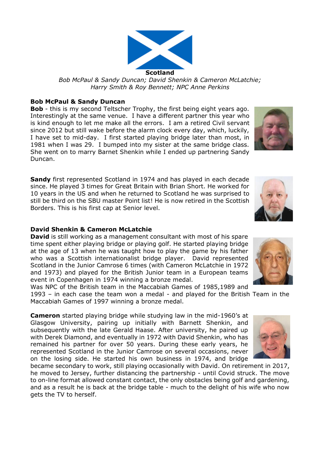

#### **Bob McPaul & Sandy Duncan**

**Bob** - this is my second Teltscher Trophy, the first being eight years ago. Interestingly at the same venue. I have a different partner this year who is kind enough to let me make all the errors. I am a retired Civil servant since 2012 but still wake before the alarm clock every day, which, luckily, I have set to mid-day. I first started playing bridge later than most, in 1981 when I was 29. I bumped into my sister at the same bridge class. She went on to marry Barnet Shenkin while I ended up partnering Sandy Duncan.

**Sandy** first represented Scotland in 1974 and has played in each decade since. He played 3 times for Great Britain with Brian Short. He worked for 10 years in the US and when he returned to Scotland he was surprised to still be third on the SBU master Point list! He is now retired in the Scottish Borders. This is his first cap at Senior level.

#### **David Shenkin & Cameron McLatchie**

**David** is still working as a management consultant with most of his spare time spent either playing bridge or playing golf. He started playing bridge at the age of 13 when he was taught how to play the game by his father who was a Scottish internationalist bridge player. David represented Scotland in the Junior Camrose 6 times (with Cameron McLatchie in 1972 and 1973) and played for the British Junior team in a European teams event in Copenhagen in 1974 winning a bronze medal.

Was NPC of the British team in the Maccabiah Games of 1985,1989 and 1993 – in each case the team won a medal - and played for the British Team in the Maccabiah Games of 1997 winning a bronze medal.

**Cameron** started playing bridge while studying law in the mid-1960's at Glasgow University, pairing up initially with Barnett Shenkin, and subsequently with the late Gerald Haase. After university, he paired up with Derek Diamond, and eventually in 1972 with David Shenkin, who has remained his partner for over 50 years. During these early years, he represented Scotland in the Junior Camrose on several occasions, never on the losing side. He started his own business in 1974, and bridge

became secondary to work, still playing occasionally with David. On retirement in 2017, he moved to Jersey, further distancing the partnership - until Covid struck. The move to on-line format allowed constant contact, the only obstacles being golf and gardening, and as a result he is back at the bridge table - much to the delight of his wife who now gets the TV to herself.







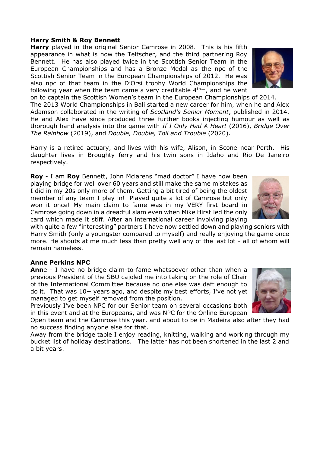#### **Harry Smith & Roy Bennett**

**Harry** played in the original Senior Camrose in 2008. This is his fifth appearance in what is now the Teltscher, and the third partnering Roy Bennett. He has also played twice in the Scottish Senior Team in the European Championships and has a Bronze Medal as the npc of the Scottish Senior Team in the European Championships of 2012. He was also npc of that team in the D'Orsi trophy World Championships the following year when the team came a very creditable  $4<sup>th</sup> =$ , and he went

on to captain the Scottish Women's team in the European Championships of 2014. The 2013 World Championships in Bali started a new career for him, when he and Alex Adamson collaborated in the writing of *Scotland's Senior Moment*, published in 2014. He and Alex have since produced three further books injecting humour as well as thorough hand analysis into the game with *If I Only Had A Heart* (2016), *Bridge Over The Rainbow* (2019), and *Double, Double, Toil and Trouble* (2020).

Harry is a retired actuary, and lives with his wife, Alison, in Scone near Perth. His daughter lives in Broughty ferry and his twin sons in Idaho and Rio De Janeiro respectively.

**Roy** - I am **Roy** Bennett, John Mclarens "mad doctor" I have now been playing bridge for well over 60 years and still make the same mistakes as I did in my 20s only more of them. Getting a bit tired of being the oldest member of any team I play in! Played quite a lot of Camrose but only won it once! My main claim to fame was in my VERY first board in Camrose going down in a dreadful slam even when Mike Hirst led the only card which made it stiff. After an international career involving playing

with quite a few "interesting" partners I have now settled down and playing seniors with Harry Smith (only a youngster compared to myself) and really enjoying the game once more. He shouts at me much less than pretty well any of the last lot - all of whom will remain nameless.

#### **Anne Perkins NPC**

**Ann**e - I have no bridge claim-to-fame whatsoever other than when a previous President of the SBU cajoled me into taking on the role of Chair of the International Committee because no one else was daft enough to do it. That was 10+ years ago, and despite my best efforts, I've not yet managed to get myself removed from the position.

Previously I've been NPC for our Senior team on several occasions both in this event and at the Europeans, and was NPC for the Online European

Open team and the Camrose this year, and about to be in Madeira also after they had no success finding anyone else for that.

Away from the bridge table I enjoy reading, knitting, walking and working through my bucket list of holiday destinations. The latter has not been shortened in the last 2 and a bit years.





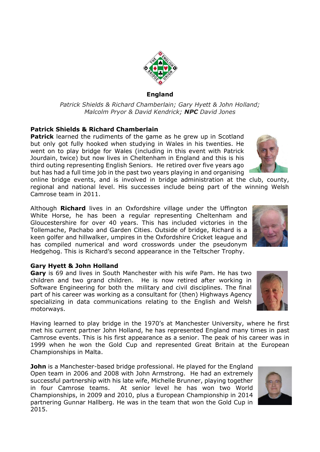

*Patrick Shields & Richard Chamberlain; Gary Hyett & John Holland; Malcolm Pryor & David Kendrick; NPC David Jones*

#### **Patrick Shields & Richard Chamberlain**

**Patrick** learned the rudiments of the game as he grew up in Scotland but only got fully hooked when studying in Wales in his twenties. He went on to play bridge for Wales (including in this event with Patrick Jourdain, twice) but now lives in Cheltenham in England and this is his third outing representing English Seniors. He retired over five years ago but has had a full time job in the past two years playing in and organising

online bridge events, and is involved in bridge administration at the club, county, regional and national level. His successes include being part of the winning Welsh Camrose team in 2011.

Although **Richard** lives in an Oxfordshire village under the Uffington White Horse, he has been a regular representing Cheltenham and Gloucestershire for over 40 years. This has included victories in the Tollemache, Pachabo and Garden Cities. Outside of bridge, Richard is a keen golfer and hillwalker, umpires in the Oxfordshire Cricket league and has compiled numerical and word crosswords under the pseudonym Hedgehog. This is Richard's second appearance in the Teltscher Trophy.

#### **Gary Hyett & John Holland**

**Gary** is 69 and lives in South Manchester with his wife Pam. He has two children and two grand children. He is now retired after working in Software Engineering for both the military and civil disciplines. The final part of his career was working as a consultant for (then) Highways Agency specializing in data communications relating to the English and Welsh motorways.

Having learned to play bridge in the 1970's at Manchester University, where he first met his current partner John Holland, he has represented England many times in past Camrose events. This is his first appearance as a senior. The peak of his career was in 1999 when he won the Gold Cup and represented Great Britain at the European Championships in Malta.

**John** is a Manchester-based bridge professional. He played for the England Open team in 2006 and 2008 with John Armstrong. He had an extremely successful partnership with his late wife, Michelle Brunner, playing together in four Camrose teams. At senior level he has won two World Championships, in 2009 and 2010, plus a European Championship in 2014 partnering Gunnar Hallberg. He was in the team that won the Gold Cup in 2015.







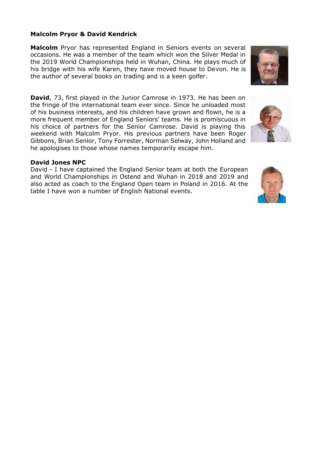#### **Malcolm Pryor & David Kendrick**

**Malcolm** Pryor has represented England in Seniors events on several occasions. He was a member of the team which won the Silver Medal in the 2019 World Championships held in Wuhan, China. He plays much of his bridge with his wife Karen, they have moved house to Devon. He is the author of several books on trading and is a keen golfer.

**David**, 73, first played in the Junior Camrose in 1973. He has been on the fringe of the international team ever since. Since he unloaded most of his business interests, and his children have grown and flown, he is a more frequent member of England Seniors' teams. He is promiscuous in his choice of partners for the Senior Camrose. David is playing this weekend with Malcolm Pryor. His previous partners have been Roger Gibbons, Brian Senior, Tony Forrester, Norman Selway, John Holland and he apologises to those whose names temporarily escape him.

#### **David Jones NPC**

David - I have captained the England Senior team at both the European and World Championships in Ostend and Wuhan in 2018 and 2019 and also acted as coach to the England Open team in Poland in 2016. At the table I have won a number of English National events.





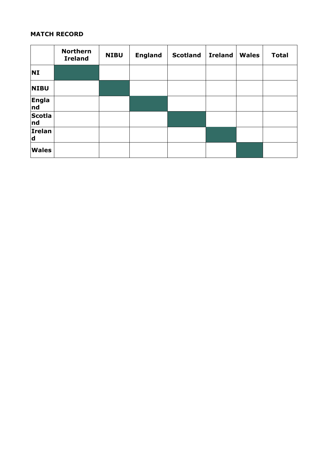# **MATCH RECORD**

|                     | <b>Northern</b><br><b>Ireland</b> | <b>NIBU</b> | <b>England</b> | <b>Scotland</b> | <b>Ireland</b> | <b>Wales</b> | <b>Total</b> |
|---------------------|-----------------------------------|-------------|----------------|-----------------|----------------|--------------|--------------|
| <b>NI</b>           |                                   |             |                |                 |                |              |              |
| <b>NIBU</b>         |                                   |             |                |                 |                |              |              |
| <b>Engla</b><br>nd  |                                   |             |                |                 |                |              |              |
| <b>Scotla</b><br>nd |                                   |             |                |                 |                |              |              |
| Irelan<br>d         |                                   |             |                |                 |                |              |              |
| <b>Wales</b>        |                                   |             |                |                 |                |              |              |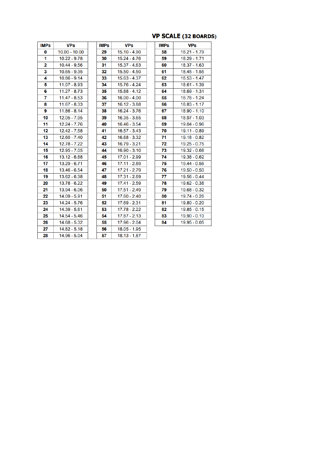# **VP SCALE (32 BOARDS)**

| <b>IMPs</b> | <b>VPs</b>      | <b>IMPs</b> | <b>VPs</b>     | <b>IMPs</b> | <b>VPs</b>     |
|-------------|-----------------|-------------|----------------|-------------|----------------|
| 0           | $10.00 - 10.00$ | 29          | $15.10 - 4.90$ | 58          | $18.21 - 1.79$ |
| 1           | $10.22 - 9.78$  | 30          | $15.24 - 4.76$ | 59          | $18.29 - 1.71$ |
| 2           | 10.44 - 9.56    | 31          | $15.37 - 4.63$ | 60          | $18.37 - 1.63$ |
| 3           | $10.65 - 9.35$  | 32          | $15.50 - 4.50$ | 61          | 18.45 - 1.55   |
| 4           | $10.86 - 9.14$  | 33          | $15.63 - 4.37$ | 62          | $18.53 - 1.47$ |
| 5           | $11.07 - 8.93$  | 34          | $15.76 - 4.24$ | 63          | 18.61 - 1.39   |
| 6           | $11.27 - 8.73$  | 35          | $15.88 - 4.12$ | 64          | 18.69 - 1.31   |
| 7           | $11.47 - 8.53$  | 36          | $16.00 - 4.00$ | 65          | 18.76 - 1.24   |
| 8           | $11.67 - 8.33$  | 37          | $16.12 - 3.88$ | 66          | $18.83 - 1.17$ |
| 9           | $11.86 - 8.14$  | 38          | 16.24 - 3.76   | 67          | $18.90 - 1.10$ |
| 10          | $12.05 - 7.95$  | 39          | $16.35 - 3.65$ | 68          | 18.97 - 1.03   |
| 11          | $12.24 - 7.76$  | 40          | $16.46 - 3.54$ | 69          | 19.04 - 0.96   |
| 12          | $12.42 - 7.58$  | 41          | $16.57 - 3.43$ | 70          | 19.11 - 0.89   |
| 13          | $12.60 - 7.40$  | 42          | $16.68 - 3.32$ | 71          | 19.18 - 0.82   |
| 14          | $12.78 - 7.22$  | 43          | $16.79 - 3.21$ | 72          | $19.25 - 0.75$ |
| 15          | $12.95 - 7.05$  | 44          | $16.90 - 3.10$ | 73          | 19.32 - 0.68   |
| 16          | $13.12 - 6.88$  | 45          | 17.01 - 2.99   | 74          | 19.38 - 0.62   |
| 17          | 13.29 - 6.71    | 46          | 17.11 - 2.89   | 75          | 19.44 - 0.56   |
| 18          | $13.46 - 6.54$  | 47          | 17.21 - 2.79   | 76          | $19.50 - 0.50$ |
| 19          | $13.62 - 6.38$  | 48          | $17.31 - 2.69$ | 77          | 19.56 - 0.44   |
| 20          | 13.78 - 6.22    | 49          | 17.41 - 2.59   | 78          | 19.62 - 0.38   |
| 21          | 13.94 - 6.06    | 50          | 17.51 - 2.49   | 79          | 19.68 - 0.32   |
| 22          | 14.09 - 5.91    | 51          | $17.60 - 2.40$ | 80          | 19.74 - 0.26   |
| 23          | 14.24 - 5.76    | 52          | $17.69 - 2.31$ | 81          | 19.80 - 0.20   |
| 24          | 14.39 - 5.61    | 53          | 17.78 - 2.22   | 82          | $19.85 - 0.15$ |
| 25          | 14.54 - 5.46    | 54          | $17.87 - 2.13$ | 83          | 19.90 - 0.10   |
| 26          | 14.68 - 5.32    | 55          | 17.96 - 2.04   | 84          | 19.95 - 0.05   |
| 27          | $14.82 - 5.18$  | 56          | $18.05 - 1.95$ |             |                |
| 28          | 14.96 - 5.04    | 57          | $18.13 - 1.87$ |             |                |